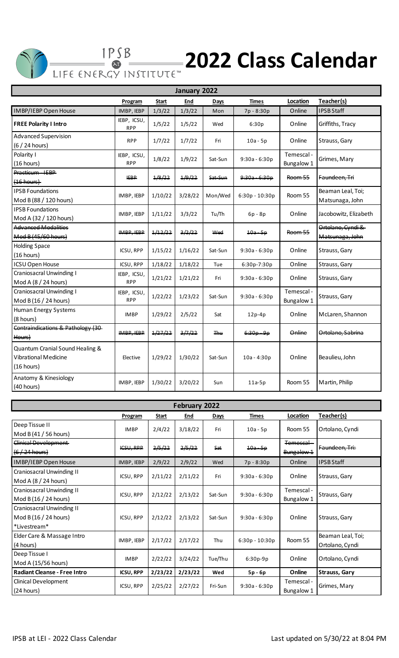

## **2022 Class Calendar**

| January 2022                                                                 |                           |         |         |            |                 |                          |                                      |  |  |  |  |
|------------------------------------------------------------------------------|---------------------------|---------|---------|------------|-----------------|--------------------------|--------------------------------------|--|--|--|--|
|                                                                              | Program                   | Start   | End     | Days       | <b>Times</b>    | Location                 | Teacher(s)                           |  |  |  |  |
| IMBP/IEBP Open House                                                         | IMBP, IEBP                | 1/3/22  | 1/3/22  | Mon        | 7p - 8:30p      | Online                   | <b>IPSB Staff</b>                    |  |  |  |  |
| <b>FREE Polarity I Intro</b>                                                 | IEBP, ICSU,<br><b>RPP</b> | 1/5/22  | 1/5/22  | Wed        | 6:30p           | Online                   | Griffiths, Tracy                     |  |  |  |  |
| Advanced Supervision<br>(6 / 24 hours)                                       | <b>RPP</b>                | 1/7/22  | 1/7/22  | Fri        | $10a - 5p$      | Online                   | Strauss, Gary                        |  |  |  |  |
| Polarity I<br>(16 hours)                                                     | IEBP, ICSU,<br><b>RPP</b> | 1/8/22  | 1/9/22  | Sat-Sun    | $9:30a - 6:30p$ | Temescal-<br>Bungalow 1  | Grimes, Mary                         |  |  |  |  |
| Practicum - IEBP-<br>(16 hours)                                              | <b>IEBP</b>               | 1/8/22  | 1/9/22  | Sat-Sun    | $9:30a - 6:30p$ | <b>Room 55</b>           | Faundeen, Tri                        |  |  |  |  |
| <b>IPSB Foundations</b><br>Mod B (88 / 120 hours)                            | IMBP, IEBP                | 1/10/22 | 3/28/22 | Mon/Wed    | 6:30p - 10:30p  | Room 55                  | Beaman Leal, Toi;<br>Matsunaga, John |  |  |  |  |
| <b>IPSB Foundations</b><br>Mod A (32 / 120 hours)                            | IMBP, IEBP                | 1/11/22 | 3/3/22  | Tu/Th      | $6p - 8p$       | Online                   | Jacobowitz, Elizabeth                |  |  |  |  |
| <b>Advanced Modalities</b><br>Mod B (45/60 hours)                            | IMBP, IEBP                | 1/12/22 | 3/2/22  | Wed        | $10a - 5p$      | <b>Room 55</b>           | Ortolano, Cyndi &<br>Matsunaga, John |  |  |  |  |
| <b>Holding Space</b><br>(16 hours)                                           | <b>ICSU, RPP</b>          | 1/15/22 | 1/16/22 | Sat-Sun    | $9:30a - 6:30p$ | Online                   | Strauss, Gary                        |  |  |  |  |
| <b>ICSU Open House</b>                                                       | ICSU, RPP                 | 1/18/22 | 1/18/22 | Tue        | 6:30p-7:30p     | Online                   | Strauss, Gary                        |  |  |  |  |
| <b>Craniosacral Unwinding I</b><br>Mod A (8 / 24 hours)                      | IEBP, ICSU,<br><b>RPP</b> | 1/21/22 | 1/21/22 | Fri        | $9:30a - 6:30p$ | Online                   | Strauss, Gary                        |  |  |  |  |
| <b>Craniosacral Unwinding I</b><br>Mod B (16 / 24 hours)                     | IEBP, ICSU,<br><b>RPP</b> | 1/22/22 | 1/23/22 | Sat-Sun    | $9:30a - 6:30p$ | Temescal -<br>Bungalow 1 | Strauss, Gary                        |  |  |  |  |
| <b>Human Energy Systems</b><br>(8 hours)                                     | <b>IMBP</b>               | 1/29/22 | 2/5/22  | Sat        | $12p-4p$        | Online                   | McLaren, Shannon                     |  |  |  |  |
| Contraindications & Pathology (30-<br>Hours)                                 | IMBP. IEBP                | 1/27/22 | 3/7/22  | <b>Thu</b> | $6:30p - 9p$    | Online                   | Ortolano, Sabrina                    |  |  |  |  |
| Quantum Cranial Sound Healing &<br><b>Vibrational Medicine</b><br>(16 hours) | Elective                  | 1/29/22 | 1/30/22 | Sat-Sun    | $10a - 4:30p$   | Online                   | Beaulieu, John                       |  |  |  |  |
| Anatomy & Kinesiology<br>(40 hours)                                          | IMBP, IEBP                | 1/30/22 | 3/20/22 | Sun        | $11a-5p$        | Room 55                  | Martin, Philip                       |  |  |  |  |

| February 2022                                                             |                  |              |            |         |                  |                                   |                                      |  |  |  |  |  |
|---------------------------------------------------------------------------|------------------|--------------|------------|---------|------------------|-----------------------------------|--------------------------------------|--|--|--|--|--|
|                                                                           | Program          | <b>Start</b> | <u>End</u> | Days    | <b>Times</b>     | Location                          | Teacher(s)                           |  |  |  |  |  |
| Deep Tissue II<br>Mod B (41 / 56 hours)                                   | <b>IMBP</b>      | 2/4/22       | 3/18/22    | Fri     | $10a - 5p$       | Room 55                           | Ortolano, Cyndi                      |  |  |  |  |  |
| <del>Clinical Development</del><br>$(6/24$ hours)                         | <b>ICSU, RPP</b> | 2/5/22       | 2/5/22     | Sat     | $10a - 5p$       | <del>Temescal</del><br>Bungalow 1 | Faundeen. Tri:                       |  |  |  |  |  |
| IMBP/IEBP Open House                                                      | IMBP, IEBP       | 2/9/22       | 2/9/22     | Wed     | 7p - 8:30p       | Online                            | <b>IPSB Staff</b>                    |  |  |  |  |  |
| <b>Craniosacral Unwinding II</b><br>Mod A (8 / 24 hours)                  | ICSU, RPP        | 2/11/22      | 2/11/22    | Fri     | $9:30a - 6:30p$  | Online                            | Strauss, Gary                        |  |  |  |  |  |
| <b>Craniosacral Unwinding II</b><br>Mod B (16 / 24 hours)                 | ICSU, RPP        | 2/12/22      | 2/13/22    | Sat-Sun | $9:30a - 6:30p$  | Temescal -<br>Bungalow 1          | Strauss, Gary                        |  |  |  |  |  |
| <b>Craniosacral Unwinding II</b><br>Mod B (16 / 24 hours)<br>*Livestream* | ICSU, RPP        | 2/12/22      | 2/13/22    | Sat-Sun | $9:30a - 6:30p$  | Online                            | Strauss, Gary                        |  |  |  |  |  |
| Elder Care & Massage Intro<br>(4 hours)                                   | IMBP, IEBP       | 2/17/22      | 2/17/22    | Thu     | $6:30p - 10:30p$ | Room 55                           | Beaman Leal, Toi;<br>Ortolano, Cyndi |  |  |  |  |  |
| Deep Tissue I<br>Mod A (15/56 hours)                                      | <b>IMBP</b>      | 2/22/22      | 3/24/22    | Tue/Thu | $6:30p-9p$       | Online                            | Ortolano, Cyndi                      |  |  |  |  |  |
| <b>Radiant Cleanse - Free Intro</b>                                       | <b>ICSU, RPP</b> | 2/23/22      | 2/23/22    | Wed     | 5p - 6p          | Online                            | <b>Strauss, Gary</b>                 |  |  |  |  |  |
| <b>Clinical Development</b><br>(24 hours)                                 | ICSU, RPP        | 2/25/22      | 2/27/22    | Fri-Sun | $9:30a - 6:30p$  | Temescal -<br>Bungalow 1          | Grimes, Mary                         |  |  |  |  |  |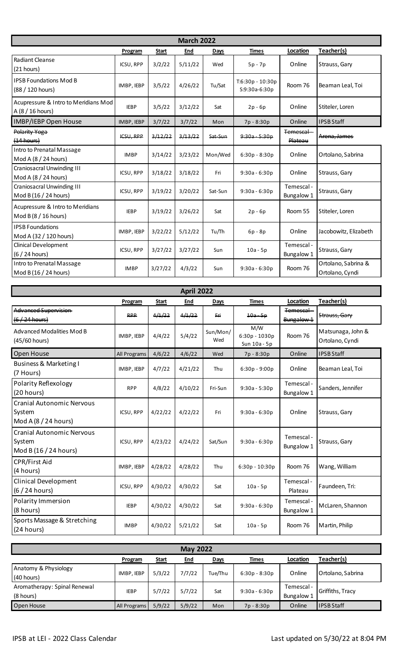| <b>March 2022</b>                                          |                  |         |            |             |                                   |                          |                                        |  |  |  |  |  |
|------------------------------------------------------------|------------------|---------|------------|-------------|-----------------------------------|--------------------------|----------------------------------------|--|--|--|--|--|
|                                                            | Program          | Start   | <u>End</u> | <b>Days</b> | Times                             | Location                 | Teacher(s)                             |  |  |  |  |  |
| Radiant Cleanse<br>$(21$ hours)                            | ICSU, RPP        | 3/2/22  | 5/11/22    | Wed         | $5p - 7p$                         | Online                   | Strauss, Gary                          |  |  |  |  |  |
| <b>IPSB Foundations Mod B</b><br>(88 / 120 hours)          | IMBP, IEBP       | 3/5/22  | 4/26/22    | Tu/Sat      | T:6:30p - 10:30p<br>S:9:30a-6:30p | Room 76                  | Beaman Leal, Toi                       |  |  |  |  |  |
| Acupressure & Intro to Meridians Mod<br>A (8 / 16 hours)   | <b>IEBP</b>      | 3/5/22  | 3/12/22    | Sat         | $2p - 6p$                         | Online                   | Stiteler, Loren                        |  |  |  |  |  |
| IMBP/IEBP Open House                                       | IMBP, IEBP       | 3/7/22  | 3/7/22     | Mon         | 7p - 8:30p                        | Online                   | <b>IPSB Staff</b>                      |  |  |  |  |  |
| Polarity Yoga<br>(14 hours)                                | <b>ICSU, RPP</b> | 3/12/22 | 3/13/22    | Sat-Sun     | $9:30a - 5:30p$                   | Temescal<br>Plateau      | Arena, James                           |  |  |  |  |  |
| Intro to Prenatal Massage<br>Mod A (8 / 24 hours)          | <b>IMBP</b>      | 3/14/22 | 3/23/22    | Mon/Wed     | $6:30p - 8:30p$                   | Online                   | Ortolano, Sabrina                      |  |  |  |  |  |
| <b>Craniosacral Unwinding III</b><br>Mod A (8 / 24 hours)  | ICSU, RPP        | 3/18/22 | 3/18/22    | Fri         | $9:30a - 6:30p$                   | Online                   | Strauss, Gary                          |  |  |  |  |  |
| <b>Craniosacral Unwinding III</b><br>Mod B (16 / 24 hours) | ICSU, RPP        | 3/19/22 | 3/20/22    | Sat-Sun     | $9:30a - 6:30p$                   | Temescal -<br>Bungalow 1 | Strauss, Gary                          |  |  |  |  |  |
| Acupressure & Intro to Meridians<br>Mod B $(8/16$ hours)   | <b>IEBP</b>      | 3/19/22 | 3/26/22    | Sat         | $2p - 6p$                         | Room 55                  | Stiteler, Loren                        |  |  |  |  |  |
| <b>IPSB Foundations</b><br>Mod A (32 / 120 hours)          | IMBP, IEBP       | 3/22/22 | 5/12/22    | Tu/Th       | $6p - 8p$                         | Online                   | Jacobowitz, Elizabeth                  |  |  |  |  |  |
| <b>Clinical Development</b><br>(6 / 24 hours)              | ICSU, RPP        | 3/27/22 | 3/27/22    | Sun         | $10a - 5p$                        | Temescal -<br>Bungalow 1 | Strauss, Gary                          |  |  |  |  |  |
| Intro to Prenatal Massage<br>Mod B (16 / 24 hours)         | <b>IMBP</b>      | 3/27/22 | 4/3/22     | Sun         | $9:30a - 6:30p$                   | Room 76                  | Ortolano, Sabrina &<br>Ortolano, Cyndi |  |  |  |  |  |

| <b>April 2022</b>                                                   |              |              |         |                 |                                        |                          |                                      |  |  |  |  |  |
|---------------------------------------------------------------------|--------------|--------------|---------|-----------------|----------------------------------------|--------------------------|--------------------------------------|--|--|--|--|--|
|                                                                     | Program      | <b>Start</b> | End     | Days            | <b>Times</b>                           | Location                 | Teacher(s)                           |  |  |  |  |  |
| Advanced Supervision-<br><del>(6 / 24 hours)</del>                  | <b>RPP</b>   | 4/1/22       | 4/1/22  | Eri             | $10a - 5p$                             | Temescal<br>Bungalow 1   | Strauss, Gary                        |  |  |  |  |  |
| Advanced Modalities Mod B<br>(45/60 hours)                          | IMBP, IEBP   | 4/4/22       | 5/4/22  | Sun/Mon/<br>Wed | M/W<br>$6:30p - 1030p$<br>Sun 10a - 5p | Room 76                  | Matsunaga, John &<br>Ortolano, Cyndi |  |  |  |  |  |
| Open House                                                          | All Programs | 4/6/22       | 4/6/22  | Wed             | 7p - 8:30p                             | Online                   | <b>IPSB Staff</b>                    |  |  |  |  |  |
| Business & Marketing I<br>(7 Hours)                                 | IMBP, IEBP   | 4/7/22       | 4/21/22 | Thu             | $6:30p - 9:00p$                        | Online                   | Beaman Leal, Toi                     |  |  |  |  |  |
| Polarity Reflexology<br>(20 hours)                                  | <b>RPP</b>   | 4/8/22       | 4/10/22 | Fri-Sun         | $9:30a - 5:30p$                        | Temescal -<br>Bungalow 1 | Sanders, Jennifer                    |  |  |  |  |  |
| <b>Cranial Autonomic Nervous</b><br>System<br>Mod A $(8/24$ hours)  | ICSU, RPP    | 4/22/22      | 4/22/22 | Fri             | $9:30a - 6:30p$                        | Online                   | Strauss, Gary                        |  |  |  |  |  |
| <b>Cranial Autonomic Nervous</b><br>System<br>Mod B (16 / 24 hours) | ICSU, RPP    | 4/23/22      | 4/24/22 | Sat/Sun         | $9:30a - 6:30p$                        | Temescal -<br>Bungalow 1 | Strauss, Gary                        |  |  |  |  |  |
| <b>CPR/First Aid</b><br>(4 hours)                                   | IMBP, IEBP   | 4/28/22      | 4/28/22 | Thu             | $6:30p - 10:30p$                       | Room 76                  | Wang, William                        |  |  |  |  |  |
| <b>Clinical Development</b><br>(6/24 hours)                         | ICSU, RPP    | 4/30/22      | 4/30/22 | Sat             | $10a - 5p$                             | Temescal -<br>Plateau    | Faundeen, Tri:                       |  |  |  |  |  |
| Polarity Immersion<br>(8 hours)                                     | <b>IEBP</b>  | 4/30/22      | 4/30/22 | Sat             | $9:30a - 6:30p$                        | Temescal -<br>Bungalow 1 | McLaren, Shannon                     |  |  |  |  |  |
| Sports Massage & Stretching<br>(24 hours)                           | <b>IMBP</b>  | 4/30/22      | 5/21/22 | Sat             | $10a - 5p$                             | Room 76                  | Martin, Philip                       |  |  |  |  |  |

| <b>May 2022</b>                           |              |              |            |             |                 |                          |                   |  |  |  |  |  |
|-------------------------------------------|--------------|--------------|------------|-------------|-----------------|--------------------------|-------------------|--|--|--|--|--|
|                                           | Program      | <u>Start</u> | <u>End</u> | <b>Days</b> | <b>Times</b>    | Location                 | Teacher(s)        |  |  |  |  |  |
| Anatomy & Physiology<br>(40 hours)        | IMBP, IEBP   | 5/3/22       | 7/7/22     | Tue/Thu     | $6:30p - 8:30p$ | Online                   | Ortolano, Sabrina |  |  |  |  |  |
| Aromatherapy: Spinal Renewal<br>(8 hours) | <b>IEBP</b>  | 5/7/22       | 5/7/22     | Sat         | $9:30a - 6:30p$ | Temescal -<br>Bungalow 1 | Griffiths, Tracy  |  |  |  |  |  |
| Open House                                | All Programs | 5/9/22       | 5/9/22     | Mon         | 7p - 8:30p      | Online                   | <b>IPSB Staff</b> |  |  |  |  |  |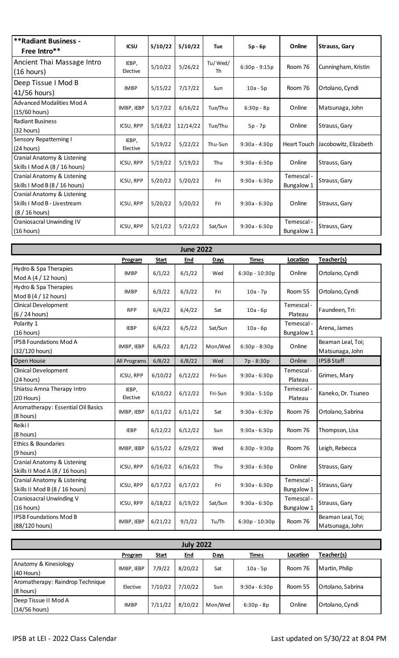| <b>**Radiant Business -</b><br>Free Intro**                                  | <b>ICSU</b>       | 5/10/22 | 5/10/22  | <b>Tue</b>    | $5p - 6p$       | Online                   | <b>Strauss, Gary</b>  |
|------------------------------------------------------------------------------|-------------------|---------|----------|---------------|-----------------|--------------------------|-----------------------|
| Ancient Thai Massage Intro<br>$(16 \text{ hours})$                           | IEBP,<br>Elective | 5/10/22 | 5/26/22  | Tu/Wed/<br>Th | $6:30p - 9:15p$ | Room 76                  | Cunningham, Kristin   |
| Deep Tissue I Mod B<br>41/56 hours)                                          | <b>IMBP</b>       | 5/15/22 | 7/17/22  | Sun           | $10a - 5p$      | Room 76                  | Ortolano, Cyndi       |
| Advanced Modalities Mod A<br>(15/60 hours)                                   | IMBP, IEBP        | 5/17/22 | 6/16/22  | Tue/Thu       | $6:30p - 8p$    | Online                   | Matsunaga, John       |
| <b>Radiant Business</b><br>(32 hours)                                        | ICSU, RPP         | 5/18/22 | 12/14/22 | Tue/Thu       | 5p - 7p         | Online                   | Strauss, Gary         |
| <b>Sensory Repatterning I</b><br>(24 hours)                                  | IEBP,<br>Elective | 5/19/22 | 5/22/22  | Thu-Sun       | $9:30a - 4:30p$ | <b>Heart Touch</b>       | Jacobowitz, Elizabeth |
| Cranial Anatomy & Listening<br>Skills I Mod A (8 / 16 hours)                 | ICSU, RPP         | 5/19/22 | 5/19/22  | Thu           | $9:30a - 6:30p$ | Online                   | Strauss, Gary         |
| Cranial Anatomy & Listening<br>Skills I Mod B (8 / 16 hours)                 | ICSU, RPP         | 5/20/22 | 5/20/22  | Fri           | $9:30a - 6:30p$ | Temescal -<br>Bungalow 1 | Strauss, Gary         |
| Cranial Anatomy & Listening<br>Skills I Mod B - Livestream<br>(8 / 16 hours) | ICSU, RPP         | 5/20/22 | 5/20/22  | Fri           | $9:30a - 6:30p$ | Online                   | Strauss, Gary         |
| Craniosacral Unwinding IV<br>(16 hours)                                      | ICSU, RPP         | 5/21/22 | 5/22/22  | Sat/Sun       | $9:30a - 6:30p$ | Temescal -<br>Bungalow 1 | Strauss, Gary         |

| <b>June 2022</b>                   |              |         |         |         |                  |            |                    |  |  |  |  |  |
|------------------------------------|--------------|---------|---------|---------|------------------|------------|--------------------|--|--|--|--|--|
|                                    | Program      | Start   | End     | Days    | Times            | Location   | Teacher(s)         |  |  |  |  |  |
| Hydro & Spa Therapies              | <b>IMBP</b>  | 6/1/22  | 6/1/22  | Wed     | $6:30p - 10:30p$ | Online     | Ortolano, Cyndi    |  |  |  |  |  |
| Mod A (4 / 12 hours)               |              |         |         |         |                  |            |                    |  |  |  |  |  |
| Hydro & Spa Therapies              | <b>IMBP</b>  | 6/3/22  | 6/3/22  | Fri     | $10a - 7p$       | Room 55    | Ortolano, Cyndi    |  |  |  |  |  |
| Mod B (4 / 12 hours)               |              |         |         |         |                  |            |                    |  |  |  |  |  |
| <b>Clinical Development</b>        | <b>RPP</b>   | 6/4/22  | 6/4/22  | Sat     | $10a - 6p$       | Temescal-  | Faundeen, Tri:     |  |  |  |  |  |
| (6 / 24 hours)                     |              |         |         |         |                  | Plateau    |                    |  |  |  |  |  |
| Polarity 1                         | <b>IEBP</b>  | 6/4/22  | 6/5/22  | Sat/Sun | $10a - 6p$       | Temescal - | Arena, James       |  |  |  |  |  |
| (16 hours)                         |              |         |         |         |                  | Bungalow 1 |                    |  |  |  |  |  |
| <b>IPSB Foundations Mod A</b>      | IMBP, IEBP   | 6/6/22  | 8/1/22  | Mon/Wed | $6:30p - 8:30p$  | Online     | Beaman Leal, Toi;  |  |  |  |  |  |
| (32/120 hours)                     |              |         |         |         |                  |            | Matsunaga, John    |  |  |  |  |  |
| Open House                         | All Programs | 6/8/22  | 6/8/22  | Wed     | 7p - 8:30p       | Online     | <b>IPSB Staff</b>  |  |  |  |  |  |
| Clinical Development               | ICSU, RPP    | 6/10/22 | 6/12/22 | Fri-Sun | $9:30a - 6:30p$  | Temescal - | Grimes, Mary       |  |  |  |  |  |
| (24 hours)                         |              |         |         |         |                  | Plateau    |                    |  |  |  |  |  |
| Shiatsu Amna Therapy Intro         | IEBP,        | 6/10/22 | 6/12/22 | Fri-Sun | $9:30a - 5:10p$  | Temescal-  | Kaneko, Dr. Tsuneo |  |  |  |  |  |
| (20 Hours)                         | Elective     |         |         |         |                  | Plateau    |                    |  |  |  |  |  |
| Aromatherapy: Essential Oil Basics | IMBP, IEBP   | 6/11/22 | 6/11/22 | Sat     | $9:30a - 6:30p$  | Room 76    | Ortolano, Sabrina  |  |  |  |  |  |
| (8 hours)                          |              |         |         |         |                  |            |                    |  |  |  |  |  |
| Reiki I                            | <b>IEBP</b>  | 6/12/22 | 6/12/22 | Sun     | $9:30a - 6:30p$  | Room 76    | Thompson, Lisa     |  |  |  |  |  |
| (8 hours)                          |              |         |         |         |                  |            |                    |  |  |  |  |  |
| Ethics & Boundaries                | IMBP, IEBP   | 6/15/22 | 6/29/22 | Wed     | $6:30p - 9:30p$  | Room 76    | Leigh, Rebecca     |  |  |  |  |  |
| (9 hours)                          |              |         |         |         |                  |            |                    |  |  |  |  |  |
| Cranial Anatomy & Listening        | ICSU, RPP    | 6/16/22 | 6/16/22 | Thu     | $9:30a - 6:30p$  | Online     | Strauss, Gary      |  |  |  |  |  |
| Skills II Mod A (8 / 16 hours)     |              |         |         |         |                  |            |                    |  |  |  |  |  |
| Cranial Anatomy & Listening        | ICSU, RPP    | 6/17/22 | 6/17/22 | Fri     | $9:30a - 6:30p$  | Temescal-  | Strauss, Gary      |  |  |  |  |  |
| Skills II Mod B (8 / 16 hours)     |              |         |         |         |                  | Bungalow 1 |                    |  |  |  |  |  |
| Craniosacral Unwinding V           | ICSU, RPP    | 6/18/22 | 6/19/22 | Sat/Sun | $9:30a - 6:30p$  | Temescal - | Strauss, Gary      |  |  |  |  |  |
| (16 hours)                         |              |         |         |         |                  | Bungalow 1 |                    |  |  |  |  |  |
| <b>IPSB Foundations Mod B</b>      | IMBP, IEBP   | 6/21/22 | 9/1/22  | Tu/Th   | $6:30p - 10:30p$ | Room 76    | Beaman Leal, Toi;  |  |  |  |  |  |
| (88/120 hours)                     |              |         |         |         |                  |            | Matsunaga, John    |  |  |  |  |  |

| <b>July 2022</b>                 |             |              |            |             |                 |          |                   |  |  |  |  |  |
|----------------------------------|-------------|--------------|------------|-------------|-----------------|----------|-------------------|--|--|--|--|--|
|                                  | Program     | <u>Start</u> | <u>End</u> | <b>Days</b> | <u>Times</u>    | Location | Teacher(s)        |  |  |  |  |  |
| Anatomy & Kinesiology            |             |              |            |             |                 |          |                   |  |  |  |  |  |
| (40 Hours)                       | IMBP, IEBP  | 7/9/22       | 8/20/22    | Sat         | $10a - 5p$      | Room 76  | Martin, Philip    |  |  |  |  |  |
| Aromatherapy: Raindrop Technique |             | 7/10/22      | 7/10/22    |             |                 | Room 55  | Ortolano, Sabrina |  |  |  |  |  |
| (8 hours)                        | Elective    |              |            | Sun         | $9:30a - 6:30p$ |          |                   |  |  |  |  |  |
| Deep Tissue II Mod A             | <b>IMBP</b> |              |            |             |                 | Online   |                   |  |  |  |  |  |
| (14/56 hours)                    |             | 7/11/22      | 8/10/22    | Mon/Wed     | $6:30p - 8p$    |          | Ortolano, Cyndi   |  |  |  |  |  |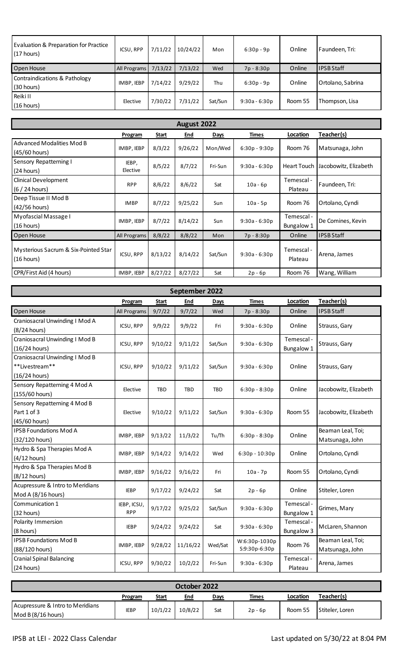| Evaluation & Preparation for Practice<br>$(17$ hours) | ICSU, RPP    | 7/11/22 | 10/24/22 | Mon     | $6:30p - 9p$    | Online  | Faundeen, Tri:    |
|-------------------------------------------------------|--------------|---------|----------|---------|-----------------|---------|-------------------|
| Open House                                            | All Programs | 7/13/22 | 7/13/22  | Wed     | 7p - 8:30p      | Online  | <b>IPSB Staff</b> |
| Contraindications & Pathology<br>(30 hours)           | IMBP, IEBP   | 7/14/22 | 9/29/22  | Thu     | $6:30p - 9p$    | Online  | Ortolano, Sabrina |
| Reiki II<br>(16 hours)                                | Elective     | 7/30/22 | 7/31/22  | Sat/Sun | $9:30a - 6:30p$ | Room 55 | Thompson, Lisa    |

| August 2022                                         |                   |              |            |             |                 |                          |                       |  |  |  |  |  |
|-----------------------------------------------------|-------------------|--------------|------------|-------------|-----------------|--------------------------|-----------------------|--|--|--|--|--|
|                                                     | <b>Program</b>    | <u>Start</u> | <u>End</u> | <b>Days</b> | <b>Times</b>    | Location                 | Teacher(s)            |  |  |  |  |  |
| <b>Advanced Modalities Mod B</b><br>$(45/60$ hours) | IMBP, IEBP        | 8/3/22       | 9/26/22    | Mon/Wed     | $6:30p - 9:30p$ | Room 76                  | Matsunaga, John       |  |  |  |  |  |
| <b>Sensory Repatterning I</b><br>(24 hours)         | IEBP,<br>Elective | 8/5/22       | 8/7/22     | Fri-Sun     | $9:30a - 6:30p$ | Heart Touch              | Jacobowitz, Elizabeth |  |  |  |  |  |
| Clinical Development<br>$(6/24$ hours)              | <b>RPP</b>        | 8/6/22       | 8/6/22     | Sat         | $10a - 6p$      | Temescal -<br>Plateau    | Faundeen, Tri:        |  |  |  |  |  |
| Deep Tissue II Mod B<br>(42/56 hours)               | <b>IMBP</b>       | 8/7/22       | 9/25/22    | Sun         | $10a - 5p$      | Room 76                  | Ortolano, Cyndi       |  |  |  |  |  |
| Myofascial Massage I<br>(16 hours)                  | IMBP, IEBP        | 8/7/22       | 8/14/22    | Sun         | $9:30a - 6:30p$ | Temescal -<br>Bungalow 1 | De Comines, Kevin     |  |  |  |  |  |
| Open House                                          | All Programs      | 8/8/22       | 8/8/22     | Mon         | 7p - 8:30p      | Online                   | <b>IPSB Staff</b>     |  |  |  |  |  |
| Mysterious Sacrum & Six-Pointed Star<br>(16 hours)  | ICSU, RPP         | 8/13/22      | 8/14/22    | Sat/Sun     | $9:30a - 6:30p$ | Temescal -<br>Plateau    | Arena, James          |  |  |  |  |  |
| CPR/First Aid (4 hours)                             | IMBP, IEBP        | 8/27/22      | 8/27/22    | Sat         | $2p - 6p$       | Room 76                  | Wang, William         |  |  |  |  |  |

| September 2022                   |              |            |            |            |                 |                   |                       |  |  |  |  |  |
|----------------------------------|--------------|------------|------------|------------|-----------------|-------------------|-----------------------|--|--|--|--|--|
|                                  | Program      | Start      | End        | Days       | <b>Times</b>    | Location          | Teacher(s)            |  |  |  |  |  |
| Open House                       | All Programs | 9/7/22     | 9/7/22     | Wed        | 7p - 8:30p      | Online            | <b>IPSB Staff</b>     |  |  |  |  |  |
| Craniosacral Unwinding I Mod A   |              |            |            |            |                 | Online            |                       |  |  |  |  |  |
| $(8/24$ hours)                   | ICSU, RPP    | 9/9/22     | 9/9/22     | Fri        | $9:30a - 6:30p$ |                   | Strauss, Gary         |  |  |  |  |  |
| Craniosacral Unwinding I Mod B   | ICSU, RPP    | 9/10/22    | 9/11/22    | Sat/Sun    | $9:30a - 6:30p$ | Temescal -        | Strauss, Gary         |  |  |  |  |  |
| (16/24 hours)                    |              |            |            |            |                 | Bungalow 1        |                       |  |  |  |  |  |
| Craniosacral Unwinding I Mod B   |              |            |            |            |                 |                   |                       |  |  |  |  |  |
| **Livestream**                   | ICSU, RPP    | 9/10/22    | 9/11/22    | Sat/Sun    | $9:30a - 6:30p$ | Online            | Strauss, Gary         |  |  |  |  |  |
| $(16/24$ hours)                  |              |            |            |            |                 |                   |                       |  |  |  |  |  |
| Sensory Repatterning 4 Mod A     | Elective     | <b>TBD</b> | <b>TBD</b> | <b>TBD</b> | $6:30p - 8:30p$ | Online            | Jacobowitz, Elizabeth |  |  |  |  |  |
| (155/60 hours)                   |              |            |            |            |                 |                   |                       |  |  |  |  |  |
| Sensory Repatterning 4 Mod B     |              |            |            |            |                 |                   |                       |  |  |  |  |  |
| Part 1 of 3                      | Elective     | 9/10/22    | 9/11/22    | Sat/Sun    | $9:30a - 6:30p$ | Room 55           | Jacobowitz, Elizabeth |  |  |  |  |  |
| (45/60 hours)                    |              |            |            |            |                 |                   |                       |  |  |  |  |  |
| <b>IPSB Foundations Mod A</b>    | IMBP, IEBP   | 9/13/22    | 11/3/22    | Tu/Th      | 6:30p - 8:30p   | Online            | Beaman Leal, Toi;     |  |  |  |  |  |
| (32/120 hours)                   |              |            |            |            |                 |                   | Matsunaga, John       |  |  |  |  |  |
| Hydro & Spa Therapies Mod A      | IMBP, IEBP   | 9/14/22    | 9/14/22    | Wed        | 6:30p - 10:30p  | Online            | Ortolano, Cyndi       |  |  |  |  |  |
| $(4/12$ hours)                   |              |            |            |            |                 |                   |                       |  |  |  |  |  |
| Hydro & Spa Therapies Mod B      | IMBP, IEBP   | 9/16/22    | 9/16/22    | Fri        | $10a - 7p$      | Room 55           | Ortolano, Cyndi       |  |  |  |  |  |
| $(8/12$ hours)                   |              |            |            |            |                 |                   |                       |  |  |  |  |  |
| Acupressure & Intro to Meridians | <b>IEBP</b>  | 9/17/22    | 9/24/22    | Sat        | $2p - 6p$       | Online            | Stiteler, Loren       |  |  |  |  |  |
| Mod A (8/16 hours)               |              |            |            |            |                 |                   |                       |  |  |  |  |  |
| Communication 1                  | IEBP, ICSU,  | 9/17/22    | 9/25/22    | Sat/Sun    | $9:30a - 6:30p$ | Temescal -        | Grimes, Mary          |  |  |  |  |  |
| (32 hours)                       | <b>RPP</b>   |            |            |            |                 | Bungalow 1        |                       |  |  |  |  |  |
| Polarity Immersion               | <b>IEBP</b>  | 9/24/22    | 9/24/22    | Sat        | $9:30a - 6:30p$ | Temescal -        | McLaren, Shannon      |  |  |  |  |  |
| (8 hours)                        |              |            |            |            |                 | <b>Bungalow 3</b> |                       |  |  |  |  |  |
| <b>IPSB Foundations Mod B</b>    | IMBP, IEBP   | 9/28/22    | 11/16/22   | Wed/Sat    | W:6:30p-1030p   | Room 76           | Beaman Leal, Toi;     |  |  |  |  |  |
| (88/120 hours)                   |              |            |            |            | S:9:30p-6:30p   |                   | Matsunaga, John       |  |  |  |  |  |
| <b>Cranial Spinal Balancing</b>  | ICSU, RPP    | 9/30/22    | 10/2/22    | Fri-Sun    | $9:30a - 6:30p$ | Temescal -        | Arena, James          |  |  |  |  |  |
| (24 hours)                       |              |            |            |            |                 | Plateau           |                       |  |  |  |  |  |

| October 2022                                             |             |              |         |      |         |          |                 |  |  |  |
|----------------------------------------------------------|-------------|--------------|---------|------|---------|----------|-----------------|--|--|--|
|                                                          | Program     | <u>Start</u> | End     | Davs | Times   | Location | Teacher(s)      |  |  |  |
| Acupressure & Intro to Meridians<br>Mod B $(8/16$ hours) | <b>IEBP</b> | 10/1/22      | 10/8/22 | Sat  | 2p - 6p | Room 55  | Stiteler. Loren |  |  |  |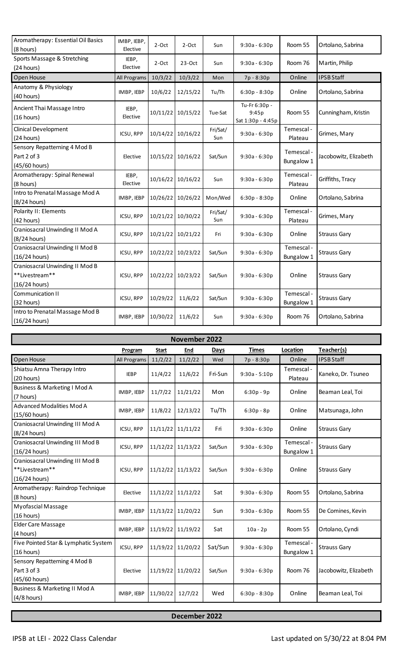| Aromatherapy: Essential Oil Basics<br>(8 hours)                    | IMBP, IEBP,<br>Elective | 2-Oct             | 2-Oct             | Sun             | $9:30a - 6:30p$                             | Room 55                  | Ortolano, Sabrina     |
|--------------------------------------------------------------------|-------------------------|-------------------|-------------------|-----------------|---------------------------------------------|--------------------------|-----------------------|
| Sports Massage & Stretching<br>(24 hours)                          | IEBP,<br>Elective       | $2-Oct$           | $23-Oct$          | Sun             | $9:30a - 6:30p$                             | Room 76                  | Martin, Philip        |
| Open House                                                         | All Programs            | 10/3/22           | 10/3/22           | Mon             | 7p - 8:30p                                  | Online                   | <b>IPSB Staff</b>     |
| Anatomy & Physiology<br>(40 hours)                                 | IMBP, IEBP              | 10/6/22           | 12/15/22          | Tu/Th           | $6:30p - 8:30p$                             | Online                   | Ortolano, Sabrina     |
| Ancient Thai Massage Intro<br>(16 hours)                           | IEBP,<br>Elective       |                   | 10/11/22 10/15/22 | Tue-Sat         | Tu-Fr 6:30p -<br>9:45p<br>Sat 1:30p - 4:45p | Room 55                  | Cunningham, Kristin   |
| <b>Clinical Development</b><br>(24 hours)                          | ICSU, RPP               | 10/14/22          | 10/16/22          | Fri/Sat/<br>Sun | $9:30a - 6:30p$                             | Temescal-<br>Plateau     | Grimes, Mary          |
| Sensory Repatterning 4 Mod B<br>Part 2 of 3<br>(45/60 hours)       | Elective                | 10/15/22          | 10/16/22          | Sat/Sun         | $9:30a - 6:30p$                             | Temescal -<br>Bungalow 1 | Jacobowitz, Elizabeth |
| Aromatherapy: Spinal Renewal<br>(8 hours)                          | IEBP,<br>Elective       |                   | 10/16/22 10/16/22 | Sun             | $9:30a - 6:30p$                             | Temescal -<br>Plateau    | Griffiths, Tracy      |
| Intro to Prenatal Massage Mod A<br>(8/24 hours)                    | IMBP, IEBP              | 10/26/22          | 10/26/22          | Mon/Wed         | 6:30p - 8:30p                               | Online                   | Ortolano, Sabrina     |
| Polarity II: Elements<br>(42 hours)                                | ICSU, RPP               | 10/21/22          | 10/30/22          | Fri/Sat/<br>Sun | $9:30a - 6:30p$                             | Temescal -<br>Plateau    | Grimes, Mary          |
| Craniosacral Unwinding II Mod A<br>(8/24 hours)                    | ICSU, RPP               | 10/21/22 10/21/22 |                   | Fri             | $9:30a - 6:30p$                             | Online                   | <b>Strauss Gary</b>   |
| Craniosacral Unwinding II Mod B<br>(16/24 hours)                   | ICSU, RPP               | 10/22/22          | 10/23/22          | Sat/Sun         | $9:30a - 6:30p$                             | Temescal -<br>Bungalow 1 | <b>Strauss Gary</b>   |
| Craniosacral Unwinding II Mod B<br>**Livestream**<br>(16/24 hours) | ICSU, RPP               | 10/22/22          | 10/23/22          | Sat/Sun         | 9:30a - 6:30p                               | Online                   | <b>Strauss Gary</b>   |
| Communication II<br>(32 hours)                                     | ICSU, RPP               | 10/29/22          | 11/6/22           | Sat/Sun         | $9:30a - 6:30p$                             | Temescal -<br>Bungalow 1 | <b>Strauss Gary</b>   |
| Intro to Prenatal Massage Mod B<br>(16/24 hours)                   | IMBP, IEBP              | 10/30/22          | 11/6/22           | Sun             | $9:30a - 6:30p$                             | Room 76                  | Ortolano, Sabrina     |

| November 2022                                                         |              |                   |          |         |                 |                          |                       |
|-----------------------------------------------------------------------|--------------|-------------------|----------|---------|-----------------|--------------------------|-----------------------|
|                                                                       | Program      | Start             | End      | Days    | <b>Times</b>    | Location                 | Teacher(s)            |
| Open House                                                            | All Programs | 11/2/22           | 11/2/22  | Wed     | 7p - 8:30p      | Online                   | <b>IPSB Staff</b>     |
| Shiatsu Amna Therapy Intro<br>(20 hours)                              | <b>IEBP</b>  | 11/4/22           | 11/6/22  | Fri-Sun | $9:30a - 5:10p$ | Temescal -<br>Plateau    | Kaneko, Dr. Tsuneo    |
| Business & Marketing I Mod A<br>(7 hours)                             | IMBP, IEBP   | 11/7/22           | 11/21/22 | Mon     | $6:30p - 9p$    | Online                   | Beaman Leal, Toi      |
| Advanced Modalities Mod A<br>(15/60 hours)                            | IMBP, IEBP   | 11/8/22           | 12/13/22 | Tu/Th   | $6:30p - 8p$    | Online                   | Matsunaga, John       |
| Craniosacral Unwinding III Mod A<br>(8/24 hours)                      | ICSU, RPP    | 11/11/22 11/11/22 |          | Fri     | $9:30a - 6:30p$ | Online                   | <b>Strauss Gary</b>   |
| Craniosacral Unwinding III Mod B<br>$(16/24$ hours)                   | ICSU, RPP    | 11/12/22 11/13/22 |          | Sat/Sun | $9:30a - 6:30p$ | Temescal -<br>Bungalow 1 | Strauss Gary          |
| Craniosacral Unwinding III Mod B<br>**Livestream**<br>$(16/24$ hours) | ICSU, RPP    | 11/12/22 11/13/22 |          | Sat/Sun | $9:30a - 6:30p$ | Online                   | Strauss Gary          |
| Aromatherapy: Raindrop Technique<br>(8 hours)                         | Elective     | 11/12/22 11/12/22 |          | Sat     | $9:30a - 6:30p$ | Room 55                  | Ortolano, Sabrina     |
| Myofascial Massage<br>(16 hours)                                      | IMBP, IEBP   | 11/13/22 11/20/22 |          | Sun     | $9:30a - 6:30p$ | Room 55                  | De Comines, Kevin     |
| <b>Elder Care Massage</b><br>(4 hours)                                | IMBP, IEBP   | 11/19/22 11/19/22 |          | Sat     | $10a - 2p$      | Room 55                  | Ortolano, Cyndi       |
| Five Pointed Star & Lymphatic System<br>(16 hours)                    | ICSU, RPP    | 11/19/22 11/20/22 |          | Sat/Sun | $9:30a - 6:30p$ | Temescal -<br>Bungalow 1 | <b>Strauss Gary</b>   |
| Sensory Repatterning 4 Mod B<br>Part 3 of 3<br>(45/60 hours)          | Elective     | 11/19/22 11/20/22 |          | Sat/Sun | $9:30a - 6:30p$ | Room 76                  | Jacobowitz, Elizabeth |
| Business & Marketing II Mod A<br>$(4/8$ hours)                        | IMBP, IEBP   | 11/30/22          | 12/7/22  | Wed     | $6:30p - 8:30p$ | Online                   | Beaman Leal, Toi      |

**December 2022**